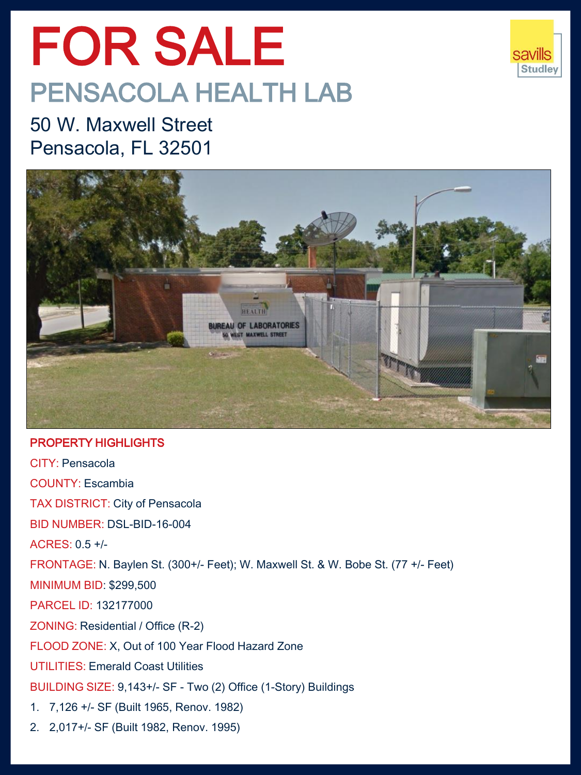# FOR SALE PENSACOLA HEALTH LAB



50 W. Maxwell Street Pensacola, FL 32501



### PROPERTY HIGHLIGHTS

CITY: Pensacola COUNTY: Escambia TAX DISTRICT: City of Pensacola BID NUMBER: DSL-BID-16-004 ACRES: 0.5 +/- FRONTAGE: N. Baylen St. (300+/- Feet); W. Maxwell St. & W. Bobe St. (77 +/- Feet) MINIMUM BID: \$299,500 PARCEL ID: 132177000 ZONING: Residential / Office (R-2) FLOOD ZONE: X, Out of 100 Year Flood Hazard Zone UTILITIES: Emerald Coast Utilities BUILDING SIZE: 9,143+/- SF - Two (2) Office (1-Story) Buildings 1. 7,126 +/- SF (Built 1965, Renov. 1982)

2. 2,017+/- SF (Built 1982, Renov. 1995)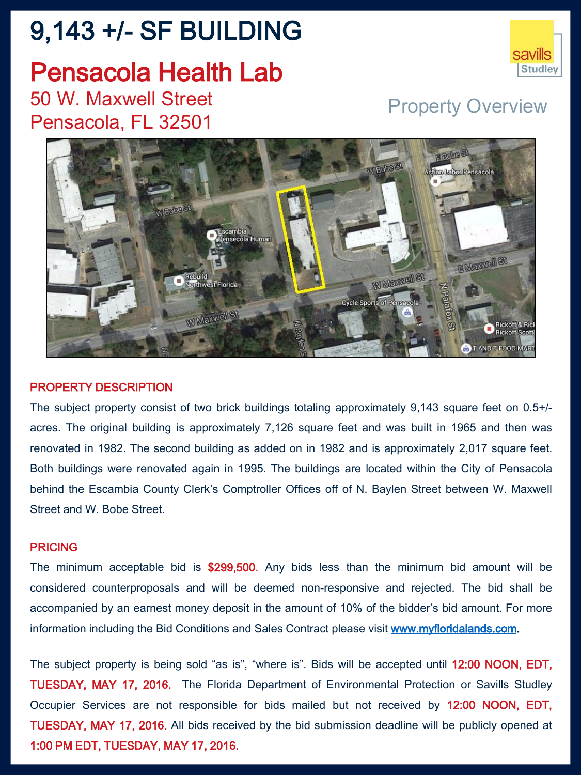## 9,143 +/- SF BUILDING

### Pensacola Health Lab 50 W. Maxwell Street Pensacola, FL 32501

### Property Overview



#### PROPERTY DESCRIPTION

The subject property consist of two brick buildings totaling approximately 9,143 square feet on 0.5+/ acres. The original building is approximately 7,126 square feet and was built in 1965 and then was renovated in 1982. The second building as added on in 1982 and is approximately 2,017 square feet. Both buildings were renovated again in 1995. The buildings are located within the City of Pensacola behind the Escambia County Clerk's Comptroller Offices off of N. Baylen Street between W. Maxwell Street and W. Bobe Street.

#### **PRICING**

The minimum acceptable bid is \$299,500. Any bids less than the minimum bid amount will be considered counterproposals and will be deemed non-responsive and rejected. The bid shall be accompanied by an earnest money deposit in the amount of 10% of the bidder's bid amount. For more information including the Bid Conditions and Sales Contract please visit [www.myfloridalands.com](http://www.myfloridalands.com/).

The subject property is being sold "as is", "where is". Bids will be accepted until 12:00 NOON, EDT, TUESDAY, MAY 17, 2016. The Florida Department of Environmental Protection or Savills Studley Occupier Services are not responsible for bids mailed but not received by 12:00 NOON, EDT, TUESDAY, MAY 17, 2016. All bids received by the bid submission deadline will be publicly opened at 1:00 PM EDT, TUESDAY, MAY 17, 2016.

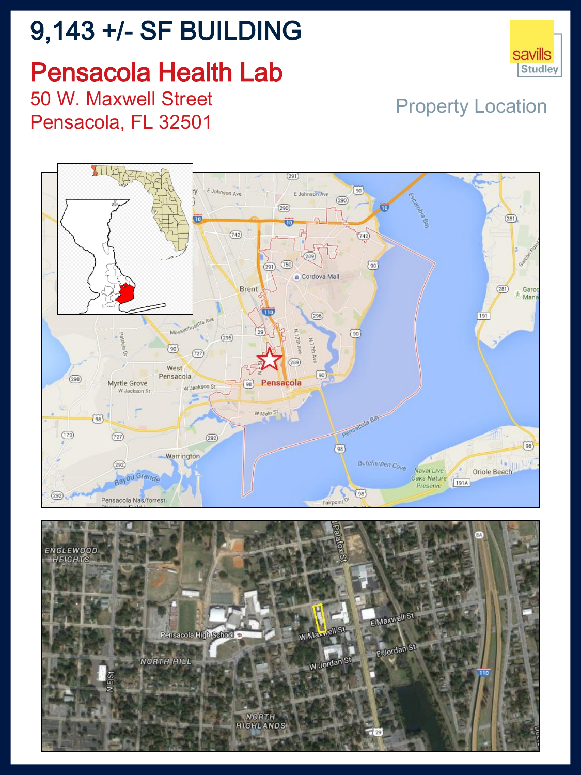## 9,143 +/- SF BUILDING

# Pensacola Health Lab



50 W. Maxwell Street Pensacola, FL 32501

Property Location